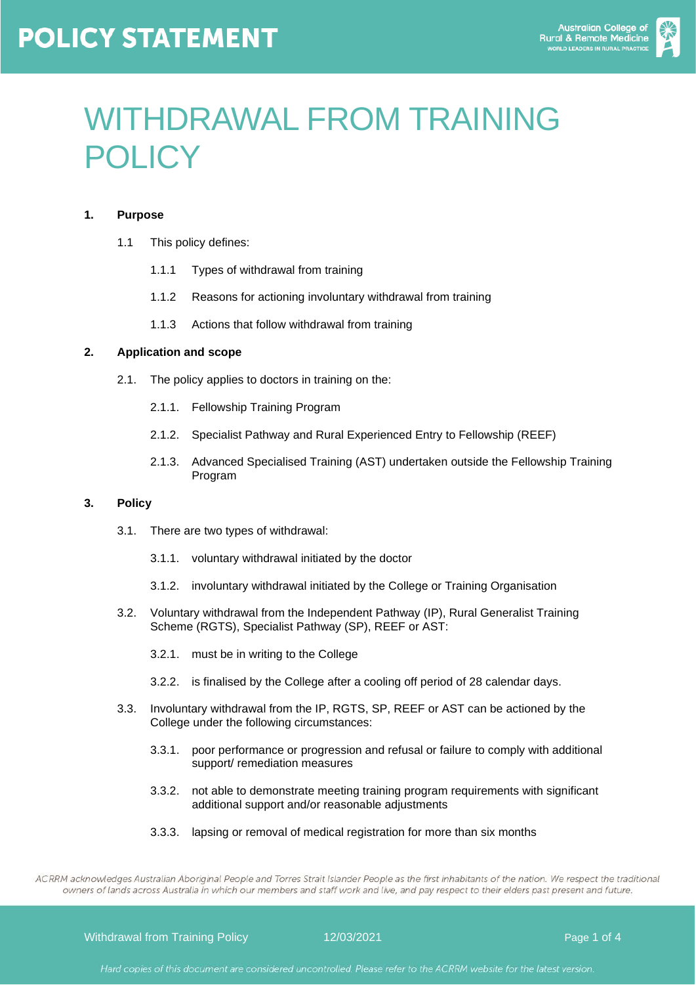## **POLICY STATEMENT**



# WITHDRAWAL FROM TRAINING POLICY

#### **1. Purpose**

- 1.1 This policy defines:
	- 1.1.1 Types of withdrawal from training
	- 1.1.2 Reasons for actioning involuntary withdrawal from training
	- 1.1.3 Actions that follow withdrawal from training

#### **2. Application and scope**

- 2.1. The policy applies to doctors in training on the:
	- 2.1.1. Fellowship Training Program
	- 2.1.2. Specialist Pathway and Rural Experienced Entry to Fellowship (REEF)
	- 2.1.3. Advanced Specialised Training (AST) undertaken outside the Fellowship Training Program

#### **3. Policy**

- 3.1. There are two types of withdrawal:
	- 3.1.1. voluntary withdrawal initiated by the doctor
	- 3.1.2. involuntary withdrawal initiated by the College or Training Organisation
- 3.2. Voluntary withdrawal from the Independent Pathway (IP), Rural Generalist Training Scheme (RGTS), Specialist Pathway (SP), REEF or AST:
	- 3.2.1. must be in writing to the College
	- 3.2.2. is finalised by the College after a cooling off period of 28 calendar days.
- 3.3. Involuntary withdrawal from the IP, RGTS, SP, REEF or AST can be actioned by the College under the following circumstances:
	- 3.3.1. poor performance or progression and refusal or failure to comply with additional support/ remediation measures
	- 3.3.2. not able to demonstrate meeting training program requirements with significant additional support and/or reasonable adjustments
	- 3.3.3. lapsing or removal of medical registration for more than six months

ACRRM acknowledges Australian Aboriginal People and Torres Strait Islander People as the first inhabitants of the nation. We respect the traditional owners of lands across Australia in which our members and staff work and live, and pay respect to their elders past present and future.

Withdrawal from Training Policy 12/03/2021 Page 1 of 4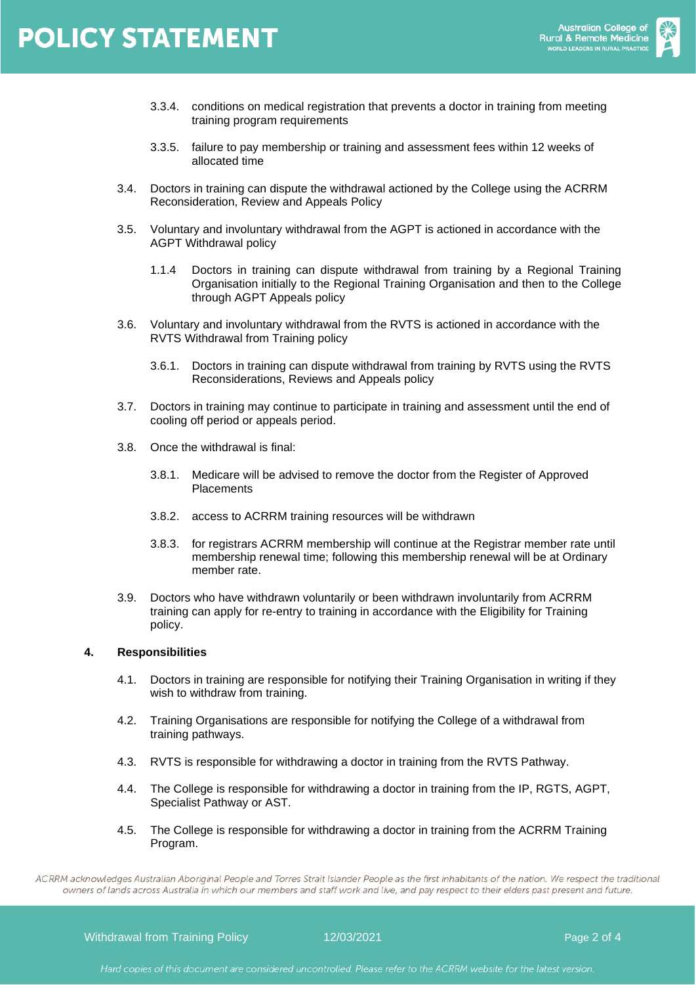

- 3.3.4. conditions on medical registration that prevents a doctor in training from meeting training program requirements
- 3.3.5. failure to pay membership or training and assessment fees within 12 weeks of allocated time
- 3.4. Doctors in training can dispute the withdrawal actioned by the College using the [ACRRM](https://www.acrrm.org.au/docs/default-source/documents/training-towards-fellowship/reconsideration-review-and-appeals-policy.pdf?sfvrsn=9d2e62ec_6)  [Reconsideration, Review and Appeals Policy](https://www.acrrm.org.au/docs/default-source/documents/training-towards-fellowship/reconsideration-review-and-appeals-policy.pdf?sfvrsn=9d2e62ec_6)
- 3.5. Voluntary and involuntary withdrawal from the AGPT is actioned in accordance with the [AGPT Withdrawal policy](http://www.agpt.com.au/ArticleDocuments/233/AGPT%20Withdrawal%20Policy%202019%20-%20Amended%20for%20MMM.pdf.aspx)
	- 1.1.4 Doctors in training can dispute withdrawal from training by a Regional Training Organisation initially to the Regional Training Organisation and then to the College through AGPT Appeals policy
- 3.6. Voluntary and involuntary withdrawal from the RVTS is actioned in accordance with the [RVTS Withdrawal from Training policy](https://rvts.org.au/downloads/Withdrawal_from_Training_Policy.pdf)
	- 3.6.1. Doctors in training can dispute withdrawal from training by RVTS using the [RVTS](https://rvts.org.au/downloads/policies/Reconsideration_Reviews_and_Appeals_Policy.pdf)  [Reconsiderations, Reviews and Appeals policy](https://rvts.org.au/downloads/policies/Reconsideration_Reviews_and_Appeals_Policy.pdf)
- 3.7. Doctors in training may continue to participate in training and assessment until the end of cooling off period or appeals period.
- 3.8. Once the withdrawal is final:
	- 3.8.1. Medicare will be advised to remove the doctor from the Register of Approved **Placements**
	- 3.8.2. access to ACRRM training resources will be withdrawn
	- 3.8.3. for registrars ACRRM membership will continue at the [Registrar member rate](https://www.acrrm.org.au/college-membership/membership-types) until membership renewal time; following this membership renewal will be at Ordinary member rate.
- 3.9. Doctors who have withdrawn voluntarily or been withdrawn involuntarily from ACRRM training can apply for re-entry to training in accordance with the Eligibility for Training policy.

#### **4. Responsibilities**

- 4.1. Doctors in training are responsible for notifying their Training Organisation in writing if they wish to withdraw from training.
- 4.2. Training Organisations are responsible for notifying the College of a withdrawal from training pathways.
- 4.3. RVTS is responsible for withdrawing a doctor in training from the RVTS Pathway.
- 4.4. The College is responsible for withdrawing a doctor in training from the IP, RGTS, AGPT, Specialist Pathway or AST.
- 4.5. The College is responsible for withdrawing a doctor in training from the ACRRM Training Program.

ACRRM acknowledges Australian Aboriginal People and Torres Strait Islander People as the first inhabitants of the nation. We respect the traditional owners of lands across Australia in which our members and staff work and live, and pay respect to their elders past present and future.

Withdrawal from Training Policy 12/03/2021 Page 2 of 4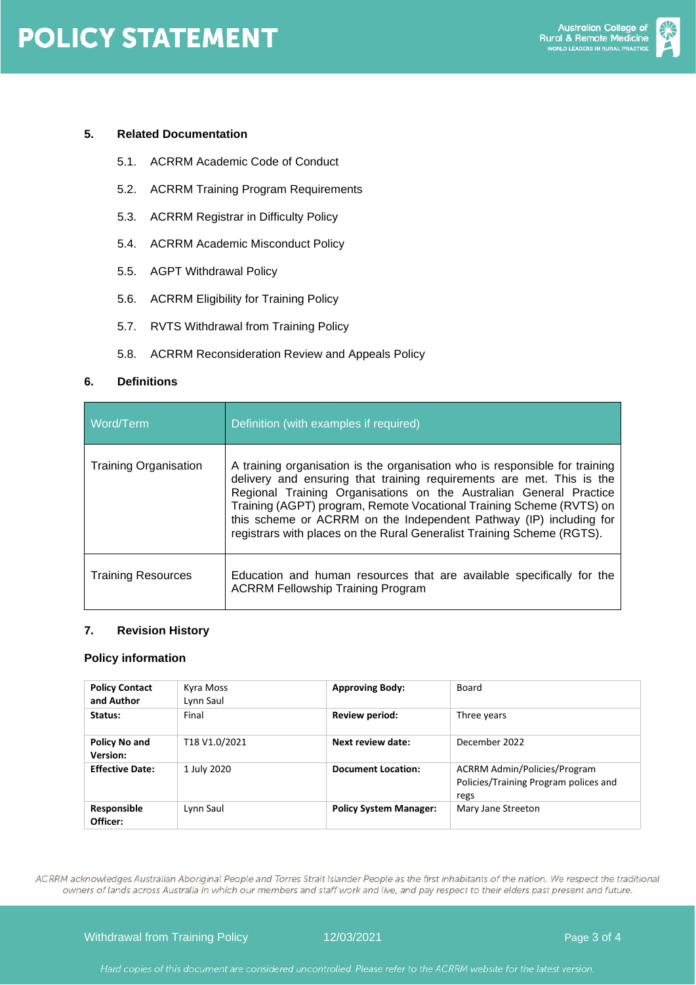

#### **5. Related Documentation**

- 5.1. ACRRM Academic Code of Conduct
- 5.2. ACRRM Training Program Requirements
- 5.3. ACRRM Registrar in Difficulty Policy
- 5.4. ACRRM Academic Misconduct Policy
- 5.5. AGPT Withdrawal Policy
- 5.6. ACRRM Eligibility for Training Policy
- 5.7. RVTS Withdrawal from Training Policy
- 5.8. ACRRM Reconsideration Review and Appeals Policy

#### **6. Definitions**

| Word/Term                    | Definition (with examples if required)                                                                                                                                                                                                                                                                                                                                                                                                             |
|------------------------------|----------------------------------------------------------------------------------------------------------------------------------------------------------------------------------------------------------------------------------------------------------------------------------------------------------------------------------------------------------------------------------------------------------------------------------------------------|
| <b>Training Organisation</b> | A training organisation is the organisation who is responsible for training<br>delivery and ensuring that training requirements are met. This is the<br>Regional Training Organisations on the Australian General Practice<br>Training (AGPT) program, Remote Vocational Training Scheme (RVTS) on<br>this scheme or ACRRM on the Independent Pathway (IP) including for<br>registrars with places on the Rural Generalist Training Scheme (RGTS). |
| <b>Training Resources</b>    | Education and human resources that are available specifically for the<br><b>ACRRM Fellowship Training Program</b>                                                                                                                                                                                                                                                                                                                                  |

#### **7. Revision History**

#### **Policy information**

| <b>Policy Contact</b><br>and Author | Kyra Moss<br>Lynn Saul | <b>Approving Body:</b>        | Board                                                                                |  |
|-------------------------------------|------------------------|-------------------------------|--------------------------------------------------------------------------------------|--|
| Status:                             | Final                  | Review period:                | Three years                                                                          |  |
| Policy No and<br><b>Version:</b>    | T18 V1.0/2021          | Next review date:             | December 2022                                                                        |  |
| <b>Effective Date:</b>              | 1 July 2020            | <b>Document Location:</b>     | <b>ACRRM Admin/Policies/Program</b><br>Policies/Training Program polices and<br>regs |  |
| Responsible<br>Officer:             | Lynn Saul              | <b>Policy System Manager:</b> | Mary Jane Streeton                                                                   |  |

ACRRM acknowledges Australian Aboriginal People and Torres Strait Islander People as the first inhabitants of the nation. We respect the traditional owners of lands across Australia in which our members and staff work and live, and pay respect to their elders past present and future.